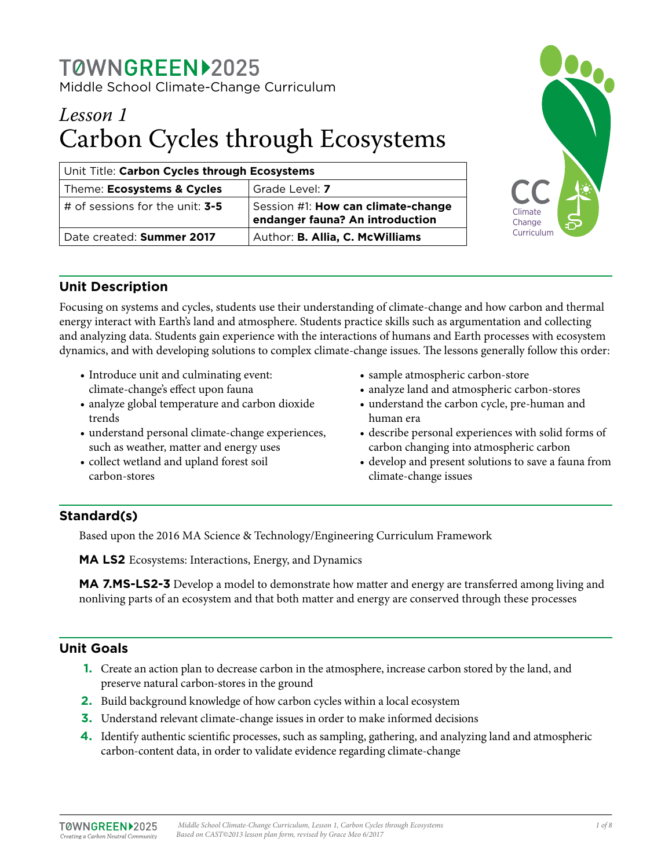## TØWNGREEN12025 Middle School Climate-Change Curriculum

# *Lesson 1* Carbon Cycles through Ecosystems

| Unit Title: Carbon Cycles through Ecosystems   |                                                                       |  |  |  |
|------------------------------------------------|-----------------------------------------------------------------------|--|--|--|
| Theme: Ecosystems & Cycles                     | Grade Level: 7                                                        |  |  |  |
| $\vert$ # of sessions for the unit: <b>3-5</b> | Session #1: How can climate-change<br>endanger fauna? An introduction |  |  |  |
| Date created: Summer 2017                      | Author: B. Allia, C. McWilliams                                       |  |  |  |



## **Unit Description**

Focusing on systems and cycles, students use their understanding of climate-change and how carbon and thermal energy interact with Earth's land and atmosphere. Students practice skills such as argumentation and collecting and analyzing data. Students gain experience with the interactions of humans and Earth processes with ecosystem dynamics, and with developing solutions to complex climate-change issues. The lessons generally follow this order:

- Introduce unit and culminating event: climate-change's effect upon fauna
- analyze global temperature and carbon dioxide trends
- understand personal climate-change experiences, such as weather, matter and energy uses
- collect wetland and upland forest soil carbon-stores
- sample atmospheric carbon-store
- analyze land and atmospheric carbon-stores
- understand the carbon cycle, pre-human and human era
- describe personal experiences with solid forms of carbon changing into atmospheric carbon
- develop and present solutions to save a fauna from climate-change issues

## **Standard(s)**

Based upon the 2016 MA Science & Technology/Engineering Curriculum Framework

**MA LS2** Ecosystems: Interactions, Energy, and Dynamics

**MA 7.MS-LS2-3** Develop a model to demonstrate how matter and energy are transferred among living and nonliving parts of an ecosystem and that both matter and energy are conserved through these processes

## **Unit Goals**

- **1.** Create an action plan to decrease carbon in the atmosphere, increase carbon stored by the land, and preserve natural carbon-stores in the ground
- **2.** Build background knowledge of how carbon cycles within a local ecosystem
- **3.** Understand relevant climate-change issues in order to make informed decisions
- **4.** Identify authentic scientific processes, such as sampling, gathering, and analyzing land and atmospheric carbon-content data, in order to validate evidence regarding climate-change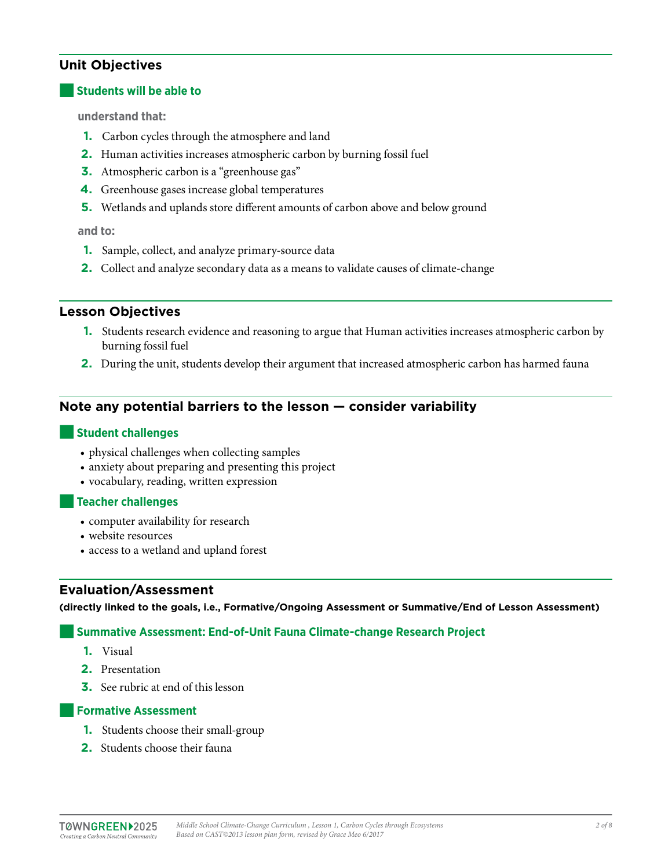## **Unit Objectives**

#### **Students will be able to**

**understand that:** 

- **1.** Carbon cycles through the atmosphere and land
- **2.** Human activities increases atmospheric carbon by burning fossil fuel
- **3.** Atmospheric carbon is a "greenhouse gas"
- **4.** Greenhouse gases increase global temperatures
- **5.** Wetlands and uplands store different amounts of carbon above and below ground

#### **and to:**

- **1.** Sample, collect, and analyze primary-source data
- **2.** Collect and analyze secondary data as a means to validate causes of climate-change

#### **Lesson Objectives**

- **1.** Students research evidence and reasoning to argue that Human activities increases atmospheric carbon by burning fossil fuel
- **2.** During the unit, students develop their argument that increased atmospheric carbon has harmed fauna

## **Note any potential barriers to the lesson — consider variability**

#### ■**Student challenges**

- physical challenges when collecting samples
- anxiety about preparing and presenting this project
- vocabulary, reading, written expression

#### ■**Teacher challenges**

- computer availability for research
- website resources
- access to a wetland and upland forest

#### **Evaluation/Assessment**

**(directly linked to the goals, i.e., Formative/Ongoing Assessment or Summative/End of Lesson Assessment)**

#### **Summative Assessment: End-of-Unit Fauna Climate-change Research Project**

- **1.** Visual
- **2.** Presentation
- **3.** See rubric at end of this lesson

#### **Formative Assessment**

- **1.** Students choose their small-group
- **2.** Students choose their fauna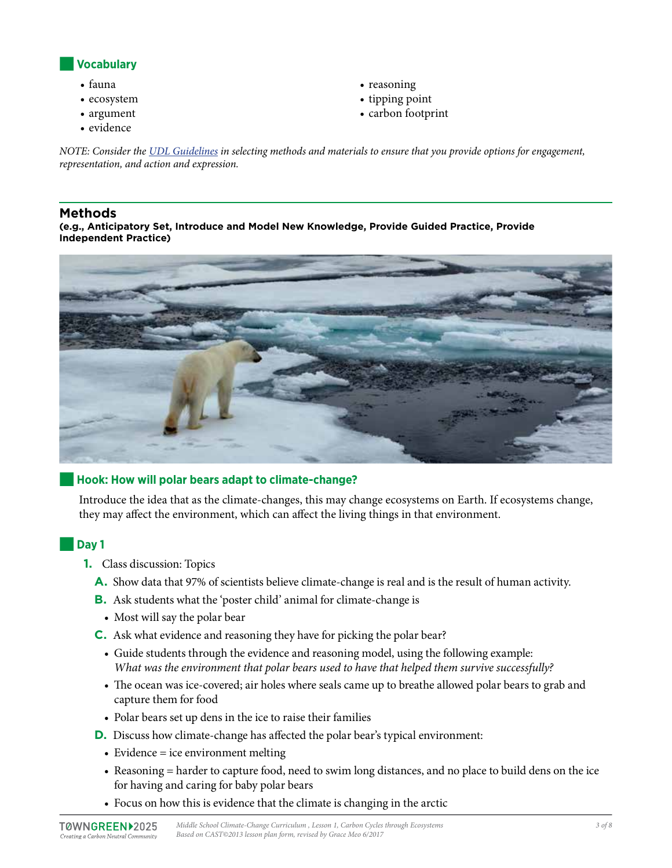

- fauna
- ecosystem
- argument
- evidence
- reasoning
- tipping point
- carbon footprint

*NOTE: Consider the [UDL Guidelines](http://bit.ly/1d5bjtS) in selecting methods and materials to ensure that you provide options for engagement, representation, and action and expression.* 

#### **Methods**

**(e.g., Anticipatory Set, Introduce and Model New Knowledge, Provide Guided Practice, Provide Independent Practice)**



#### ■**Hook: How will polar bears adapt to climate-change?**

Introduce the idea that as the climate-changes, this may change ecosystems on Earth. If ecosystems change, they may affect the environment, which can affect the living things in that environment.

## ■**Day 1**

- **1.** Class discussion: Topics
	- **A.** Show data that 97% of scientists believe climate-change is real and is the result of human activity.
	- **B.** Ask students what the 'poster child' animal for climate-change is
	- Most will say the polar bear
	- **C.** Ask what evidence and reasoning they have for picking the polar bear?
		- Guide students through the evidence and reasoning model, using the following example: *What was the environment that polar bears used to have that helped them survive successfully?*
		- The ocean was ice-covered; air holes where seals came up to breathe allowed polar bears to grab and capture them for food
		- Polar bears set up dens in the ice to raise their families
	- **D.** Discuss how climate-change has affected the polar bear's typical environment:
		- Evidence = ice environment melting
		- Reasoning = harder to capture food, need to swim long distances, and no place to build dens on the ice for having and caring for baby polar bears
		- Focus on how this is evidence that the climate is changing in the arctic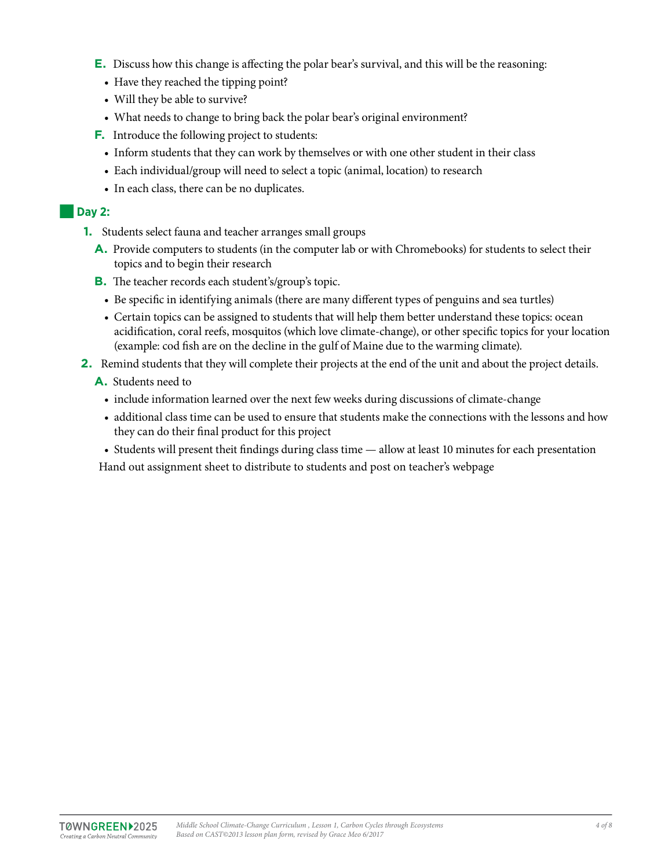- **E.** Discuss how this change is affecting the polar bear's survival, and this will be the reasoning:
	- Have they reached the tipping point?
	- Will they be able to survive?
	- What needs to change to bring back the polar bear's original environment?
- **F.** Introduce the following project to students:
	- Inform students that they can work by themselves or with one other student in their class
	- Each individual/group will need to select a topic (animal, location) to research
	- In each class, there can be no duplicates.

#### ■**Day 2:**

- **1.** Students select fauna and teacher arranges small groups
	- **A.** Provide computers to students (in the computer lab or with Chromebooks) for students to select their topics and to begin their research
	- **B.** The teacher records each student's/group's topic.
		- Be specific in identifying animals (there are many different types of penguins and sea turtles)
		- Certain topics can be assigned to students that will help them better understand these topics: ocean acidification, coral reefs, mosquitos (which love climate-change), or other specific topics for your location (example: cod fish are on the decline in the gulf of Maine due to the warming climate).
- **2.** Remind students that they will complete their projects at the end of the unit and about the project details.
	- **A.** Students need to
		- include information learned over the next few weeks during discussions of climate-change
		- additional class time can be used to ensure that students make the connections with the lessons and how they can do their final product for this project
		- Students will present theit findings during class time allow at least 10 minutes for each presentation

Hand out assignment sheet to distribute to students and post on teacher's webpage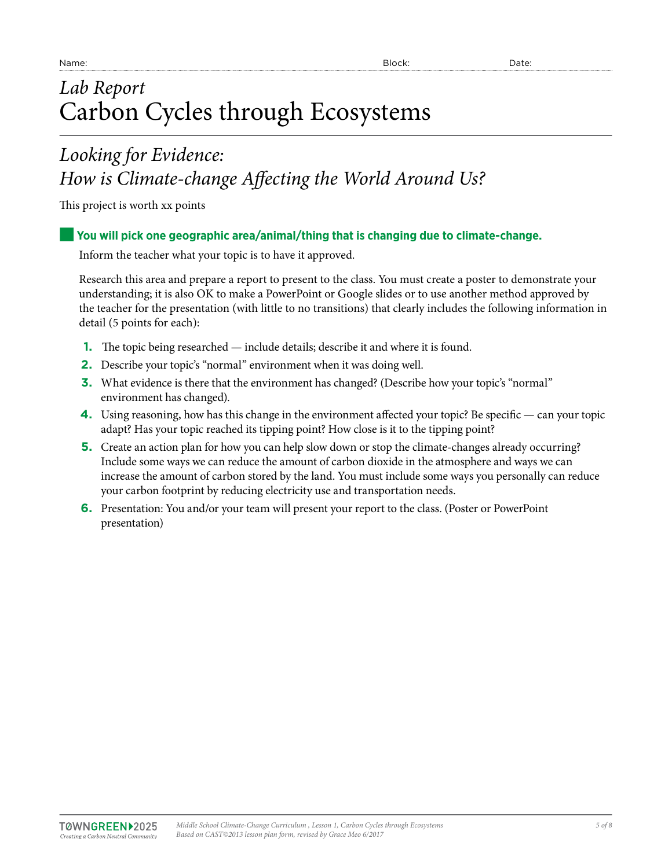# *Lab Report* Carbon Cycles through Ecosystems

## *Looking for Evidence: How is Climate-change Affecting the World Around Us?*

This project is worth xx points

## ■**You will pick one geographic area/animal/thing that is changing due to climate-change.**

Inform the teacher what your topic is to have it approved.

Research this area and prepare a report to present to the class. You must create a poster to demonstrate your understanding; it is also OK to make a PowerPoint or Google slides or to use another method approved by the teacher for the presentation (with little to no transitions) that clearly includes the following information in detail (5 points for each):

- **1.** The topic being researched include details; describe it and where it is found.
- **2.** Describe your topic's "normal" environment when it was doing well.
- **3.** What evidence is there that the environment has changed? (Describe how your topic's "normal" environment has changed).
- **4.** Using reasoning, how has this change in the environment affected your topic? Be specific can your topic adapt? Has your topic reached its tipping point? How close is it to the tipping point?
- **5.** Create an action plan for how you can help slow down or stop the climate-changes already occurring? Include some ways we can reduce the amount of carbon dioxide in the atmosphere and ways we can increase the amount of carbon stored by the land. You must include some ways you personally can reduce your carbon footprint by reducing electricity use and transportation needs.
- **6.** Presentation: You and/or your team will present your report to the class. (Poster or PowerPoint presentation)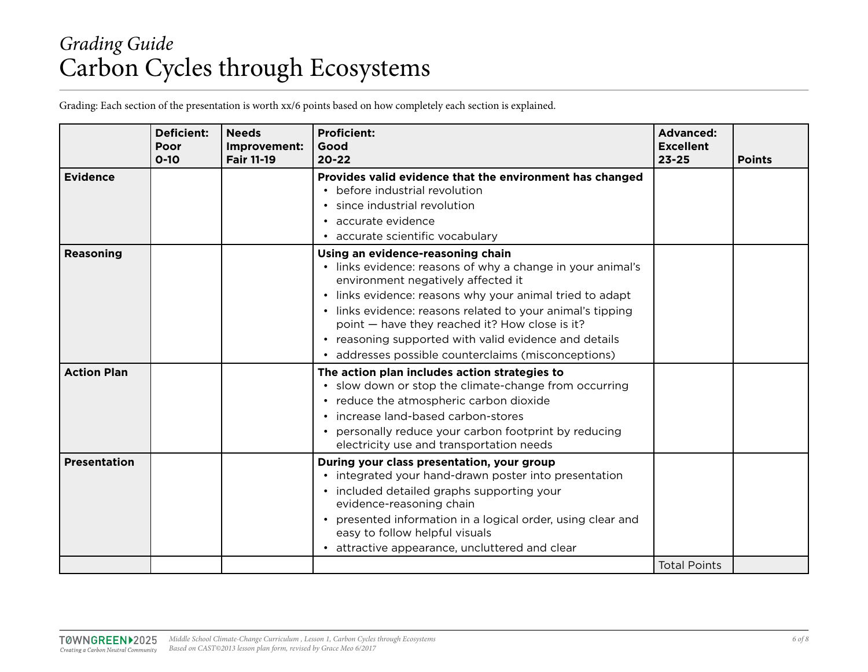# *Grading Guide* Carbon Cycles through Ecosystems

Grading: Each section of the presentation is worth xx/6 points based on how completely each section is explained.

|                     | <b>Deficient:</b><br>Poor<br>$0 - 10$ | <b>Needs</b><br>Improvement:<br><b>Fair 11-19</b> | <b>Proficient:</b><br>Good<br>$20 - 22$                                                                                                                                                                                                                                                                                                                                                                                           | <b>Advanced:</b><br><b>Excellent</b><br>$23 - 25$ | <b>Points</b> |
|---------------------|---------------------------------------|---------------------------------------------------|-----------------------------------------------------------------------------------------------------------------------------------------------------------------------------------------------------------------------------------------------------------------------------------------------------------------------------------------------------------------------------------------------------------------------------------|---------------------------------------------------|---------------|
| <b>Evidence</b>     |                                       |                                                   | Provides valid evidence that the environment has changed<br>• before industrial revolution<br>• since industrial revolution<br>• accurate evidence<br>accurate scientific vocabulary                                                                                                                                                                                                                                              |                                                   |               |
| <b>Reasoning</b>    |                                       |                                                   | Using an evidence-reasoning chain<br>• links evidence: reasons of why a change in your animal's<br>environment negatively affected it<br>• links evidence: reasons why your animal tried to adapt<br>• links evidence: reasons related to your animal's tipping<br>point - have they reached it? How close is it?<br>• reasoning supported with valid evidence and details<br>• addresses possible counterclaims (misconceptions) |                                                   |               |
| <b>Action Plan</b>  |                                       |                                                   | The action plan includes action strategies to<br>• slow down or stop the climate-change from occurring<br>• reduce the atmospheric carbon dioxide<br>• increase land-based carbon-stores<br>• personally reduce your carbon footprint by reducing<br>electricity use and transportation needs                                                                                                                                     |                                                   |               |
| <b>Presentation</b> |                                       |                                                   | During your class presentation, your group<br>• integrated your hand-drawn poster into presentation<br>• included detailed graphs supporting your<br>evidence-reasoning chain<br>presented information in a logical order, using clear and<br>easy to follow helpful visuals<br>attractive appearance, uncluttered and clear                                                                                                      | <b>Total Points</b>                               |               |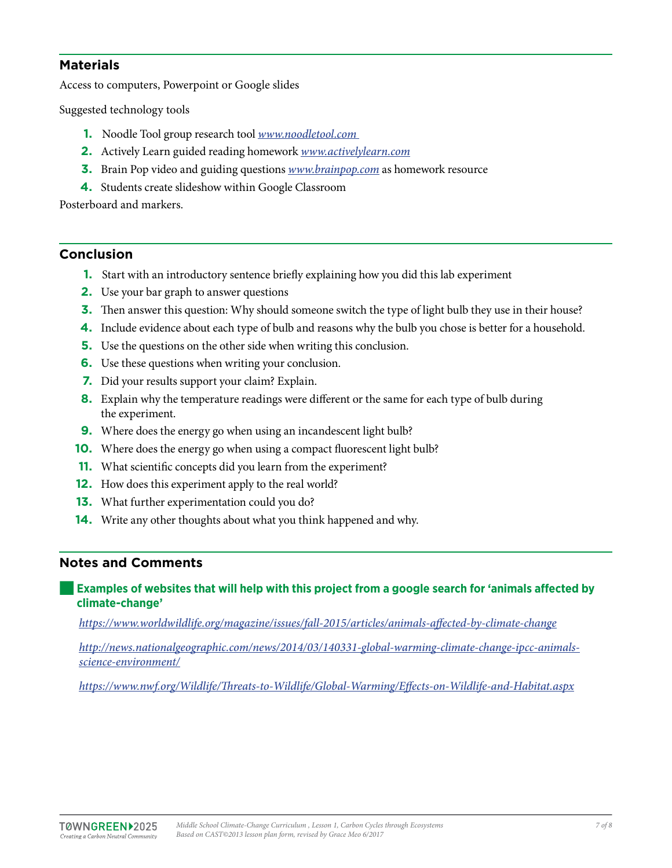#### **Materials**

Access to computers, Powerpoint or Google slides

Suggested technology tools

- **1.** Noodle Tool group research tool *[www.noodletool.com](http://www.noodletool.com)*
- **2.** Actively Learn guided reading homework *[www.activelylearn.com](http://www.activelylearn.com)*
- **3.** Brain Pop video and guiding questions *[www.brainpop.com](http://www.activelylearn.com)* as homework resource
- **4.** Students create slideshow within Google Classroom

Posterboard and markers.

#### **Conclusion**

- **1.** Start with an introductory sentence briefly explaining how you did this lab experiment
- **2.** Use your bar graph to answer questions
- **3.** Then answer this question: Why should someone switch the type of light bulb they use in their house?
- **4.** Include evidence about each type of bulb and reasons why the bulb you chose is better for a household.
- **5.** Use the questions on the other side when writing this conclusion.
- **6.** Use these questions when writing your conclusion.
- **7.** Did your results support your claim? Explain.
- **8.** Explain why the temperature readings were different or the same for each type of bulb during the experiment.
- **9.** Where does the energy go when using an incandescent light bulb?
- **10.** Where does the energy go when using a compact fluorescent light bulb?
- **11.** What scientific concepts did you learn from the experiment?
- **12.** How does this experiment apply to the real world?
- **13.** What further experimentation could you do?
- **14.** Write any other thoughts about what you think happened and why.

#### **Notes and Comments**

#### **Examples of websites that will help with this project from a google search for 'animals affected by climate-change'**

*<https://www.worldwildlife.org/magazine/issues/fall-2015/articles/animals-affected-by-climate-change>*

*[http://news.nationalgeographic.com/news/2014/03/140331-global-warming-climate-change-ipcc-animals](http://news.nationalgeographic.com/news/2014/03/140331-global-warming-climate-change-ipcc-animals-science-environment/)[science-environment/](http://news.nationalgeographic.com/news/2014/03/140331-global-warming-climate-change-ipcc-animals-science-environment/)*

*<https://www.nwf.org/Wildlife/Threats-to-Wildlife/Global-Warming/Effects-on-Wildlife-and-Habitat.aspx>*